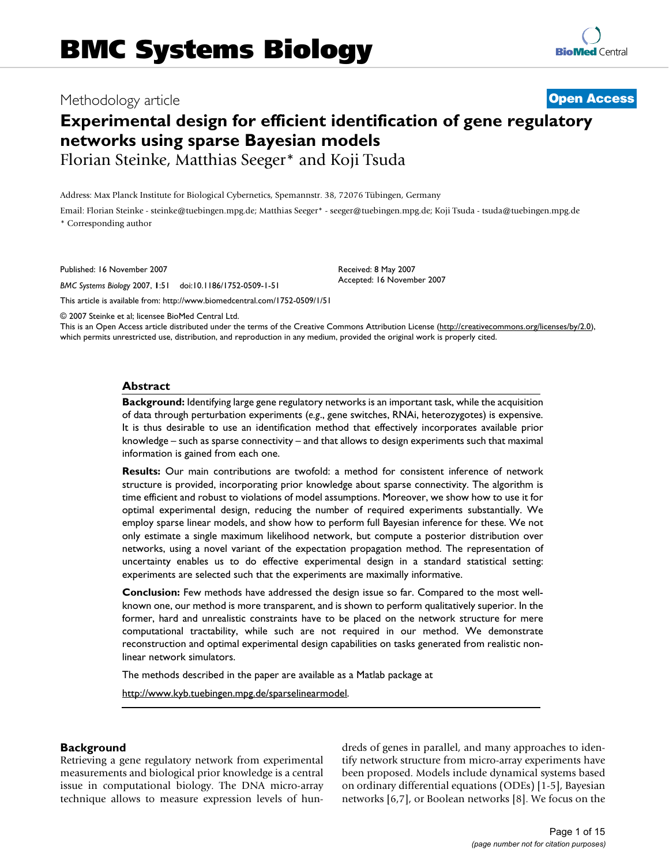# Methodology article **[Open Access](http://www.biomedcentral.com/info/about/charter/)**

# **Experimental design for efficient identification of gene regulatory networks using sparse Bayesian models**

Florian Steinke, Matthias Seeger\* and Koji Tsuda

Address: Max Planck Institute for Biological Cybernetics, Spemannstr. 38, 72076 Tübingen, Germany

Email: Florian Steinke - steinke@tuebingen.mpg.de; Matthias Seeger\* - seeger@tuebingen.mpg.de; Koji Tsuda - tsuda@tuebingen.mpg.de \* Corresponding author

Published: 16 November 2007

*BMC Systems Biology* 2007, **1**:51 doi:10.1186/1752-0509-1-51

[This article is available from: http://www.biomedcentral.com/1752-0509/1/51](http://www.biomedcentral.com/1752-0509/1/51)

© 2007 Steinke et al; licensee BioMed Central Ltd.

This is an Open Access article distributed under the terms of the Creative Commons Attribution License [\(http://creativecommons.org/licenses/by/2.0\)](http://creativecommons.org/licenses/by/2.0), which permits unrestricted use, distribution, and reproduction in any medium, provided the original work is properly cited.

Received: 8 May 2007 Accepted: 16 November 2007

# **Abstract**

**Background:** Identifying large gene regulatory networks is an important task, while the acquisition of data through perturbation experiments (*e.g*., gene switches, RNAi, heterozygotes) is expensive. It is thus desirable to use an identification method that effectively incorporates available prior knowledge – such as sparse connectivity – and that allows to design experiments such that maximal information is gained from each one.

**Results:** Our main contributions are twofold: a method for consistent inference of network structure is provided, incorporating prior knowledge about sparse connectivity. The algorithm is time efficient and robust to violations of model assumptions. Moreover, we show how to use it for optimal experimental design, reducing the number of required experiments substantially. We employ sparse linear models, and show how to perform full Bayesian inference for these. We not only estimate a single maximum likelihood network, but compute a posterior distribution over networks, using a novel variant of the expectation propagation method. The representation of uncertainty enables us to do effective experimental design in a standard statistical setting: experiments are selected such that the experiments are maximally informative.

**Conclusion:** Few methods have addressed the design issue so far. Compared to the most wellknown one, our method is more transparent, and is shown to perform qualitatively superior. In the former, hard and unrealistic constraints have to be placed on the network structure for mere computational tractability, while such are not required in our method. We demonstrate reconstruction and optimal experimental design capabilities on tasks generated from realistic nonlinear network simulators.

The methods described in the paper are available as a Matlab package at

http://www.kyb.tuebingen.mpg.de/sparselinearmodel.

# **Background**

Retrieving a gene regulatory network from experimental measurements and biological prior knowledge is a central issue in computational biology. The DNA micro-array technique allows to measure expression levels of hundreds of genes in parallel, and many approaches to identify network structure from micro-array experiments have been proposed. Models include dynamical systems based on ordinary differential equations (ODEs) [1-5], Bayesian networks [6,7], or Boolean networks [8]. We focus on the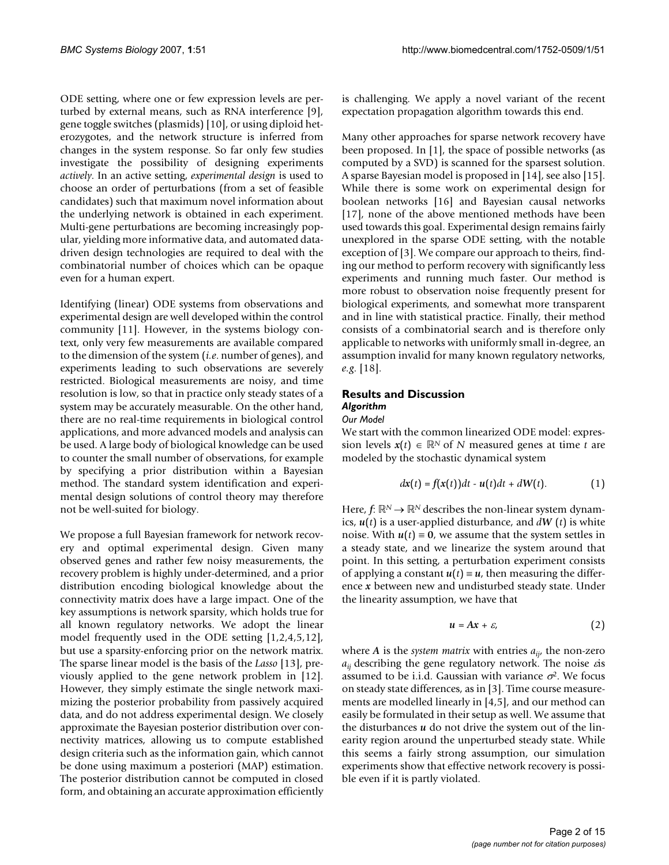ODE setting, where one or few expression levels are perturbed by external means, such as RNA interference [9], gene toggle switches (plasmids) [10], or using diploid heterozygotes, and the network structure is inferred from changes in the system response. So far only few studies investigate the possibility of designing experiments *actively*. In an active setting, *experimental design* is used to choose an order of perturbations (from a set of feasible candidates) such that maximum novel information about the underlying network is obtained in each experiment. Multi-gene perturbations are becoming increasingly popular, yielding more informative data, and automated datadriven design technologies are required to deal with the combinatorial number of choices which can be opaque even for a human expert.

Identifying (linear) ODE systems from observations and experimental design are well developed within the control community [11]. However, in the systems biology context, only very few measurements are available compared to the dimension of the system (*i.e*. number of genes), and experiments leading to such observations are severely restricted. Biological measurements are noisy, and time resolution is low, so that in practice only steady states of a system may be accurately measurable. On the other hand, there are no real-time requirements in biological control applications, and more advanced models and analysis can be used. A large body of biological knowledge can be used to counter the small number of observations, for example by specifying a prior distribution within a Bayesian method. The standard system identification and experimental design solutions of control theory may therefore not be well-suited for biology.

We propose a full Bayesian framework for network recovery and optimal experimental design. Given many observed genes and rather few noisy measurements, the recovery problem is highly under-determined, and a prior distribution encoding biological knowledge about the connectivity matrix does have a large impact. One of the key assumptions is network sparsity, which holds true for all known regulatory networks. We adopt the linear model frequently used in the ODE setting [1,2,4,5,12], but use a sparsity-enforcing prior on the network matrix. The sparse linear model is the basis of the *Lasso* [13], previously applied to the gene network problem in [12]. However, they simply estimate the single network maximizing the posterior probability from passively acquired data, and do not address experimental design. We closely approximate the Bayesian posterior distribution over connectivity matrices, allowing us to compute established design criteria such as the information gain, which cannot be done using maximum a posteriori (MAP) estimation. The posterior distribution cannot be computed in closed form, and obtaining an accurate approximation efficiently

is challenging. We apply a novel variant of the recent expectation propagation algorithm towards this end.

Many other approaches for sparse network recovery have been proposed. In [1], the space of possible networks (as computed by a SVD) is scanned for the sparsest solution. A sparse Bayesian model is proposed in [14], see also [15]. While there is some work on experimental design for boolean networks [16] and Bayesian causal networks [17], none of the above mentioned methods have been used towards this goal. Experimental design remains fairly unexplored in the sparse ODE setting, with the notable exception of [3]. We compare our approach to theirs, finding our method to perform recovery with significantly less experiments and running much faster. Our method is more robust to observation noise frequently present for biological experiments, and somewhat more transparent and in line with statistical practice. Finally, their method consists of a combinatorial search and is therefore only applicable to networks with uniformly small in-degree, an assumption invalid for many known regulatory networks, *e.g*. [18].

# **Results and Discussion** *Algorithm*

# *Our Model*

We start with the common linearized ODE model: expression levels  $x(t) \in \mathbb{R}^N$  of *N* measured genes at time *t* are modeled by the stochastic dynamical system

$$
dx(t) = f(x(t))dt - u(t)dt + dW(t).
$$
 (1)

Here,  $f: \mathbb{R}^N \to \mathbb{R}^N$  describes the non-linear system dynamics, *u*(*t*) is a user-applied disturbance, and *dW* (*t*) is white noise. With  $u(t) \equiv 0$ , we assume that the system settles in a steady state, and we linearize the system around that point. In this setting, a perturbation experiment consists of applying a constant  $u(t) = u$ , then measuring the difference *x* between new and undisturbed steady state. Under the linearity assumption, we have that

$$
u = Ax + \varepsilon, \tag{2}
$$

where *A* is the *system matrix* with entries *aij*, the non-zero  $a_{ii}$  describing the gene regulatory network. The noise  $\varepsilon$ is assumed to be i.i.d. Gaussian with variance  $\sigma^2$ . We focus on steady state differences, as in [3]. Time course measurements are modelled linearly in [4,5], and our method can easily be formulated in their setup as well. We assume that the disturbances  $u$  do not drive the system out of the linearity region around the unperturbed steady state. While this seems a fairly strong assumption, our simulation experiments show that effective network recovery is possible even if it is partly violated.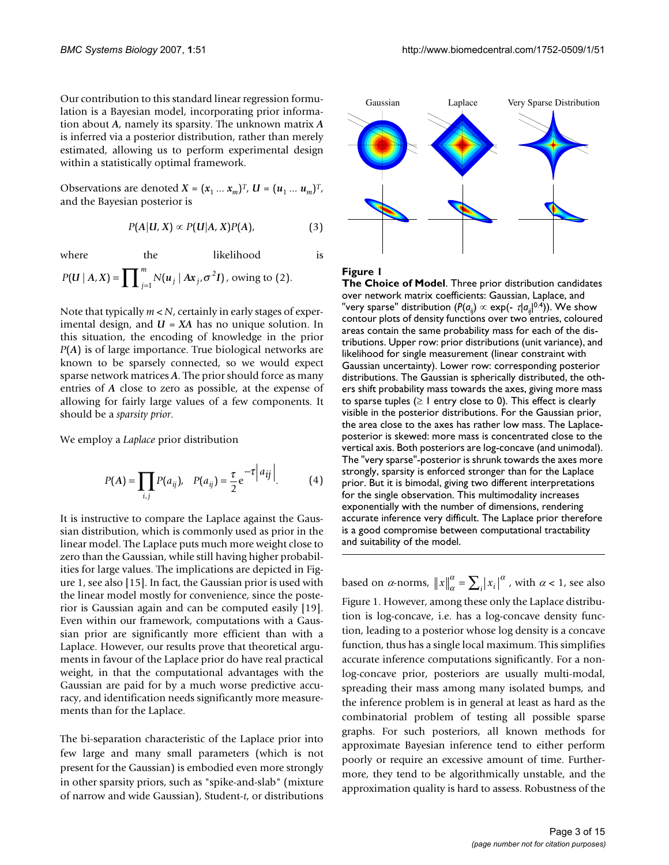Our contribution to this standard linear regression formulation is a Bayesian model, incorporating prior information about *A*, namely its sparsity. The unknown matrix *A* is inferred via a posterior distribution, rather than merely estimated, allowing us to perform experimental design within a statistically optimal framework.

Observations are denoted *X* =  $(x_1 ... x_m)^T$ , *U* =  $(u_1 ... u_m)^T$ , and the Bayesian posterior is

$$
P(A|U, X) \propto P(U|A, X)P(A), \tag{3}
$$

where the likelihood is  

$$
P(U | A, X) = \prod_{j=1}^{m} N(u_j | Ax_j, \sigma^2 I), \text{ owing to (2)}.
$$

Note that typically *m < N*, certainly in early stages of experimental design, and *U* = *XA* has no unique solution. In this situation, the encoding of knowledge in the prior *P*(*A*) is of large importance. True biological networks are known to be sparsely connected, so we would expect sparse network matrices *A*. The prior should force as many entries of *A* close to zero as possible, at the expense of allowing for fairly large values of a few components. It should be a *sparsity prior*.

We employ a *Laplace* prior distribution

$$
P(A) = \prod_{i,j} P(a_{ij}), \quad P(a_{ij}) = \frac{\tau}{2} e^{-\tau |a_{ij}|}. \tag{4}
$$

It is instructive to compare the Laplace against the Gaussian distribution, which is commonly used as prior in the linear model. The Laplace puts much more weight close to zero than the Gaussian, while still having higher probabilities for large values. The implications are depicted in Figure 1, see also [15]. In fact, the Gaussian prior is used with the linear model mostly for convenience, since the posterior is Gaussian again and can be computed easily [19]. Even within our framework, computations with a Gaussian prior are significantly more efficient than with a Laplace. However, our results prove that theoretical arguments in favour of the Laplace prior do have real practical weight, in that the computational advantages with the Gaussian are paid for by a much worse predictive accuracy, and identification needs significantly more measurements than for the Laplace.

The bi-separation characteristic of the Laplace prior into few large and many small parameters (which is not present for the Gaussian) is embodied even more strongly in other sparsity priors, such as "spike-and-slab" (mixture of narrow and wide Gaussian), Student-*t*, or distributions



**Figure 1** 

**The Choice of Model**. Three prior distribution candidates over network matrix coefficients: Gaussian, Laplace, and "very sparse" distribution ( $P(a_{ii}) \propto \exp(-\tau |a_{ii}|^{0.4})$ ). We show contour plots of density functions over two entries, coloured areas contain the same probability mass for each of the distributions. Upper row: prior distributions (unit variance), and likelihood for single measurement (linear constraint with Gaussian uncertainty). Lower row: corresponding posterior distributions. The Gaussian is spherically distributed, the others shift probability mass towards the axes, giving more mass to sparse tuples  $(≥ 1$  entry close to 0). This effect is clearly visible in the posterior distributions. For the Gaussian prior, the area close to the axes has rather low mass. The Laplaceposterior is skewed: more mass is concentrated close to the vertical axis. Both posteriors are log-concave (and unimodal). The "very sparse"-posterior is shrunk towards the axes more strongly, sparsity is enforced stronger than for the Laplace prior. But it is bimodal, giving two different interpretations for the single observation. This multimodality increases exponentially with the number of dimensions, rendering accurate inference very difficult. The Laplace prior therefore is a good compromise between computational tractability and suitability of the model.

based on  $\alpha$ -norms,  $||x||_{\alpha}^{\alpha} = \sum_{i} |x_i|^{\alpha}$ , with  $\alpha < 1$ , see also Figure 1. However, among these only the Laplace distribution is log-concave, i.e. has a log-concave density function, leading to a posterior whose log density is a concave function, thus has a single local maximum. This simplifies accurate inference computations significantly. For a nonlog-concave prior, posteriors are usually multi-modal, spreading their mass among many isolated bumps, and the inference problem is in general at least as hard as the combinatorial problem of testing all possible sparse graphs. For such posteriors, all known methods for approximate Bayesian inference tend to either perform poorly or require an excessive amount of time. Furthermore, they tend to be algorithmically unstable, and the approximation quality is hard to assess. Robustness of the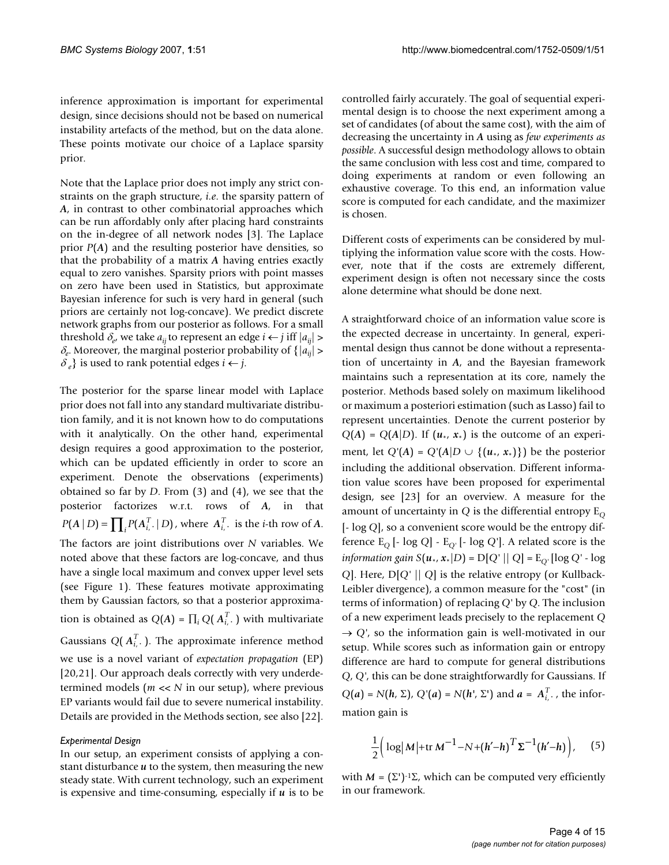inference approximation is important for experimental design, since decisions should not be based on numerical instability artefacts of the method, but on the data alone. These points motivate our choice of a Laplace sparsity prior.

Note that the Laplace prior does not imply any strict constraints on the graph structure, *i.e*. the sparsity pattern of *A*, in contrast to other combinatorial approaches which can be run affordably only after placing hard constraints on the in-degree of all network nodes [3]. The Laplace prior *P*(*A*) and the resulting posterior have densities, so that the probability of a matrix *A* having entries exactly equal to zero vanishes. Sparsity priors with point masses on zero have been used in Statistics, but approximate Bayesian inference for such is very hard in general (such priors are certainly not log-concave). We predict discrete network graphs from our posterior as follows. For a small threshold  $\delta_e$ , we take  $a_{ii}$  to represent an edge  $i \leftarrow j$  iff  $|a_{ii}| >$  $\delta_e$ . Moreover, the marginal posterior probability of  $\{|a_{ii}| >$  $\delta_e$ } is used to rank potential edges  $i \leftarrow j$ .

The posterior for the sparse linear model with Laplace prior does not fall into any standard multivariate distribution family, and it is not known how to do computations with it analytically. On the other hand, experimental design requires a good approximation to the posterior, which can be updated efficiently in order to score an experiment. Denote the observations (experiments) obtained so far by *D*. From (3) and (4), we see that the posterior factorizes w.r.t. rows of *A*, in that  $P(A | D) = \prod_i P(A_i^T | D)$ , where  $A_i^T$ , is the *i*-th row of *A*. The factors are joint distributions over *N* variables. We noted above that these factors are log-concave, and thus have a single local maximum and convex upper level sets (see Figure 1). These features motivate approximating them by Gaussian factors, so that a posterior approximation is obtained as  $Q(A) = \prod_i Q(A_i^T)$  with multivariate Gaussians  $Q(A_{i,\cdot}^T)$ . The approximate inference method we use is a novel variant of *expectation propagation* (EP) [20,21]. Our approach deals correctly with very underdetermined models (*m* << *N* in our setup), where previous EP variants would fail due to severe numerical instability. Details are provided in the Methods section, see also [22].

# *Experimental Design*

In our setup, an experiment consists of applying a constant disturbance *u* to the system, then measuring the new steady state. With current technology, such an experiment is expensive and time-consuming, especially if *u* is to be

controlled fairly accurately. The goal of sequential experimental design is to choose the next experiment among a set of candidates (of about the same cost), with the aim of decreasing the uncertainty in *A* using as *few experiments as possible*. A successful design methodology allows to obtain the same conclusion with less cost and time, compared to doing experiments at random or even following an exhaustive coverage. To this end, an information value score is computed for each candidate, and the maximizer is chosen.

Different costs of experiments can be considered by multiplying the information value score with the costs. However, note that if the costs are extremely different, experiment design is often not necessary since the costs alone determine what should be done next.

A straightforward choice of an information value score is the expected decrease in uncertainty. In general, experimental design thus cannot be done without a representation of uncertainty in *A*, and the Bayesian framework maintains such a representation at its core, namely the posterior. Methods based solely on maximum likelihood or maximum a posteriori estimation (such as Lasso) fail to represent uncertainties. Denote the current posterior by  $Q(A) = Q(A|D)$ . If  $(u_*, x_*)$  is the outcome of an experiment, let  $Q'(A) = Q'(A|D \cup \{(u_*, x_*)\})$  be the posterior including the additional observation. Different information value scores have been proposed for experimental design, see [23] for an overview. A measure for the amount of uncertainty in  $Q$  is the differential entropy  $E_Q$ [- log *Q*], so a convenient score would be the entropy difference  $E_Q$  [- log *Q*] -  $E_Q$  [- log *Q*']. A related score is the *information gain*  $S(u_*, x_*|D) = D[Q^*||Q] = E_{Q^*}[\log Q^* - \log Q]$ *Q*]. Here, D[*Q'* || *Q*] is the relative entropy (or Kullback-Leibler divergence), a common measure for the "cost" (in terms of information) of replacing *Q'* by *Q*. The inclusion of a new experiment leads precisely to the replacement *Q*  $\rightarrow Q'$ , so the information gain is well-motivated in our setup. While scores such as information gain or entropy difference are hard to compute for general distributions *Q*, *Q'*, this can be done straightforwardly for Gaussians. If  $Q(a) = N(h, \Sigma)$ ,  $Q'(a) = N(h', \Sigma')$  and  $a = A_{i'}^T$ , the information gain is

$$
\frac{1}{2} \Big( \log \big| M \big| + \text{tr} \, M^{-1} - N + (h' - h)^T \Sigma^{-1} (h' - h) \Big), \quad (5)
$$

with  $M = (\Sigma')^{-1} \Sigma$ , which can be computed very efficiently in our framework.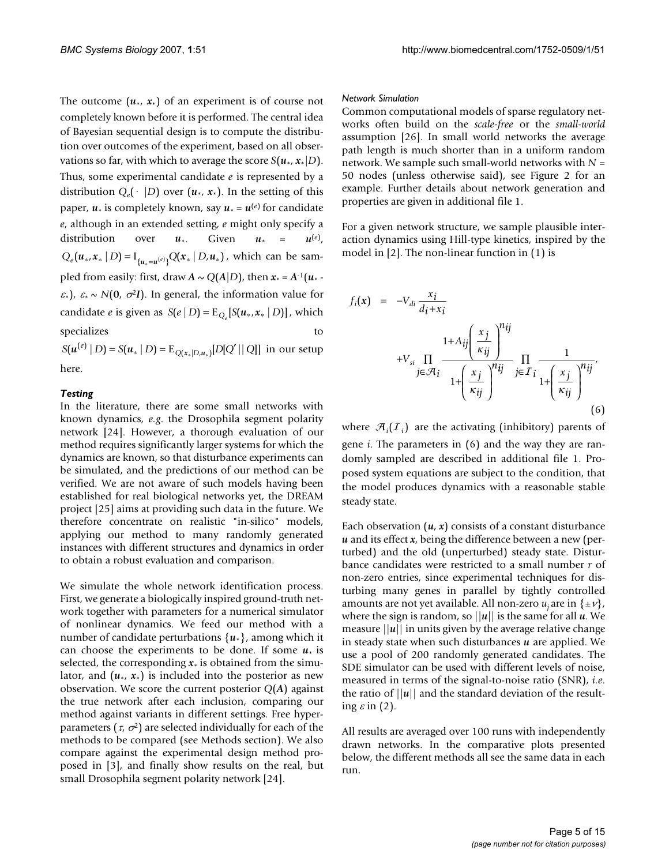The outcome  $(u_*, x_*)$  of an experiment is of course not completely known before it is performed. The central idea of Bayesian sequential design is to compute the distribution over outcomes of the experiment, based on all observations so far, with which to average the score  $S(u_*, x_*|D)$ . Thus, some experimental candidate *e* is represented by a distribution  $Q_e(\cdot | D)$  over  $(u_*, x_*)$ . In the setting of this paper,  $u_*$  is completely known, say  $u_* = u^{(e)}$  for candidate *e*, although in an extended setting, *e* might only specify a distribution over  $u_*$ . Given  $u_* = u^{(e)}$ ,  $Q_e(u_*, x_* | D) = I_{\{u_* = u^{(e)}\}} Q(x_* | D, u_*),$  which can be sampled from easily: first, draw  $A \sim Q(A|D)$ , then  $x^* = A^{-1}(u^*)$  $\varepsilon_*$ ),  $\varepsilon_* \sim N(0, \sigma^2 I)$ . In general, the information value for candidate *e* is given as  $S(e | D) = E_{Q_e}[S(u_*, x_* | D)]$ , which specializes to the second service of the service of the service of the service of the service of the service of the service of the service of the service of the service of the service of the service of the service of the s  $S(u^{(e)} | D) = S(u, | D) = E_{Q(x, | D, u,)} [D[Q' || Q]]$  in our setup

here.

#### *Testing*

In the literature, there are some small networks with known dynamics, *e.g*. the Drosophila segment polarity network [24]. However, a thorough evaluation of our method requires significantly larger systems for which the dynamics are known, so that disturbance experiments can be simulated, and the predictions of our method can be verified. We are not aware of such models having been established for real biological networks yet, the DREAM project [25] aims at providing such data in the future. We therefore concentrate on realistic "in-silico" models, applying our method to many randomly generated instances with different structures and dynamics in order to obtain a robust evaluation and comparison.

We simulate the whole network identification process. First, we generate a biologically inspired ground-truth network together with parameters for a numerical simulator of nonlinear dynamics. We feed our method with a number of candidate perturbations {*u*\*}, among which it can choose the experiments to be done. If some  $u_*$  is selected, the corresponding  $x^*$  is obtained from the simulator, and  $(u_*, x_*)$  is included into the posterior as new observation. We score the current posterior *Q*(*A*) against the true network after each inclusion, comparing our method against variants in different settings. Free hyperparameters ( $\tau$ ,  $\sigma^2$ ) are selected individually for each of the methods to be compared (see Methods section). We also compare against the experimental design method proposed in [3], and finally show results on the real, but small Drosophila segment polarity network [24].

#### *Network Simulation*

Common computational models of sparse regulatory networks often build on the *scale-free* or the *small-world* assumption [26]. In small world networks the average path length is much shorter than in a uniform random network. We sample such small-world networks with *N* = 50 nodes (unless otherwise said), see Figure 2 for an example. Further details about network generation and properties are given in additional file 1.

For a given network structure, we sample plausible interaction dynamics using Hill-type kinetics, inspired by the model in [2]. The non-linear function in (1) is

$$
f_i(\mathbf{x}) = -V_{di} \frac{x_i}{d_i + x_i}
$$
  
+
$$
V_{si} \prod_{j \in \mathcal{A}_i} \frac{1 + A_{ij} \left(\frac{x_j}{\kappa_{ij}}\right)^{n_{ij}}}{1 + \left(\frac{x_j}{\kappa_{ij}}\right)^{n_{ij}}}
$$

$$
\prod_{j \in J_i} \frac{1}{1 + \left(\frac{x_j}{\kappa_{ij}}\right)^{n_{ij}}}
$$
(6)

where  $\mathcal{A}_i(\mathcal{I}_i)$  are the activating (inhibitory) parents of gene *i*. The parameters in (6) and the way they are randomly sampled are described in additional file 1. Proposed system equations are subject to the condition, that the model produces dynamics with a reasonable stable steady state.

Each observation  $(u, x)$  consists of a constant disturbance *u* and its effect *x*, being the difference between a new (perturbed) and the old (unperturbed) steady state. Disturbance candidates were restricted to a small number *r* of non-zero entries, since experimental techniques for disturbing many genes in parallel by tightly controlled amounts are not yet available. All non-zero  $u_i$  are in  $\{\pm v\}$ , where the sign is random, so ||*u*|| is the same for all *u*. We measure  $||u||$  in units given by the average relative change in steady state when such disturbances *u* are applied. We use a pool of 200 randomly generated candidates. The SDE simulator can be used with different levels of noise, measured in terms of the signal-to-noise ratio (SNR), *i.e*. the ratio of  $||u||$  and the standard deviation of the resulting  $\varepsilon$  in (2).

All results are averaged over 100 runs with independently drawn networks. In the comparative plots presented below, the different methods all see the same data in each run.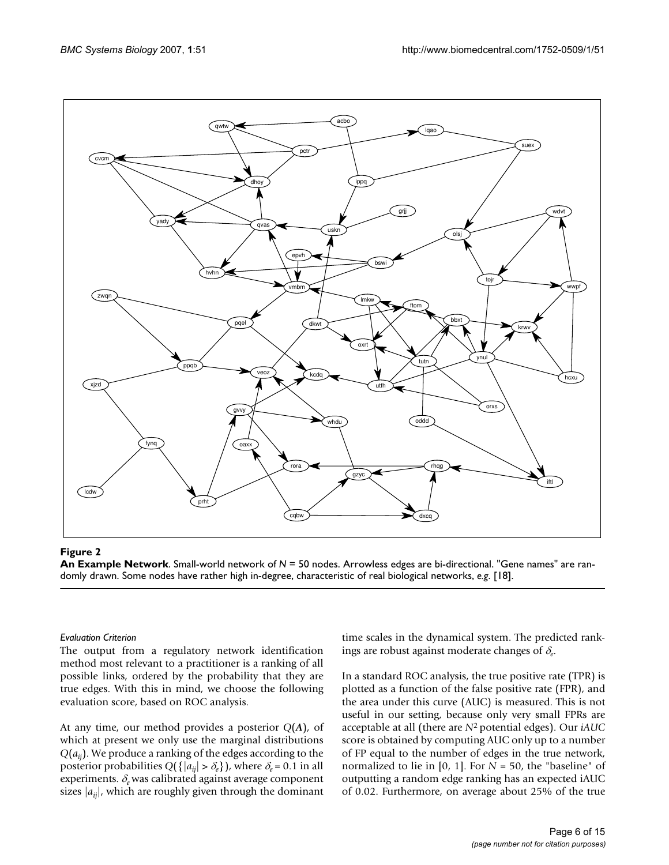

**An Example Network**. Small-world network of *N* = 50 nodes. Arrowless edges are bi-directional. "Gene names" are randomly drawn. Some nodes have rather high in-degree, characteristic of real biological networks, *e.g*. [18].

# *Evaluation Criterion*

The output from a regulatory network identification method most relevant to a practitioner is a ranking of all possible links, ordered by the probability that they are true edges. With this in mind, we choose the following evaluation score, based on ROC analysis.

At any time, our method provides a posterior *Q*(*A*), of which at present we only use the marginal distributions *Q*(*aij*). We produce a ranking of the edges according to the posterior probabilities  $Q({\{|a_{ij}| > \delta_e\}})$ , where  $\delta_e = 0.1$  in all experiments. δ*e* was calibrated against average component sizes  $|a_{ij}|$ , which are roughly given through the dominant time scales in the dynamical system. The predicted rankings are robust against moderate changes of δ*e*.

In a standard ROC analysis, the true positive rate (TPR) is plotted as a function of the false positive rate (FPR), and the area under this curve (AUC) is measured. This is not useful in our setting, because only very small FPRs are acceptable at all (there are *N*2 potential edges). Our *iAUC* score is obtained by computing AUC only up to a number of FP equal to the number of edges in the true network, normalized to lie in [0, 1]. For *N* = 50, the "baseline" of outputting a random edge ranking has an expected iAUC of 0.02. Furthermore, on average about 25% of the true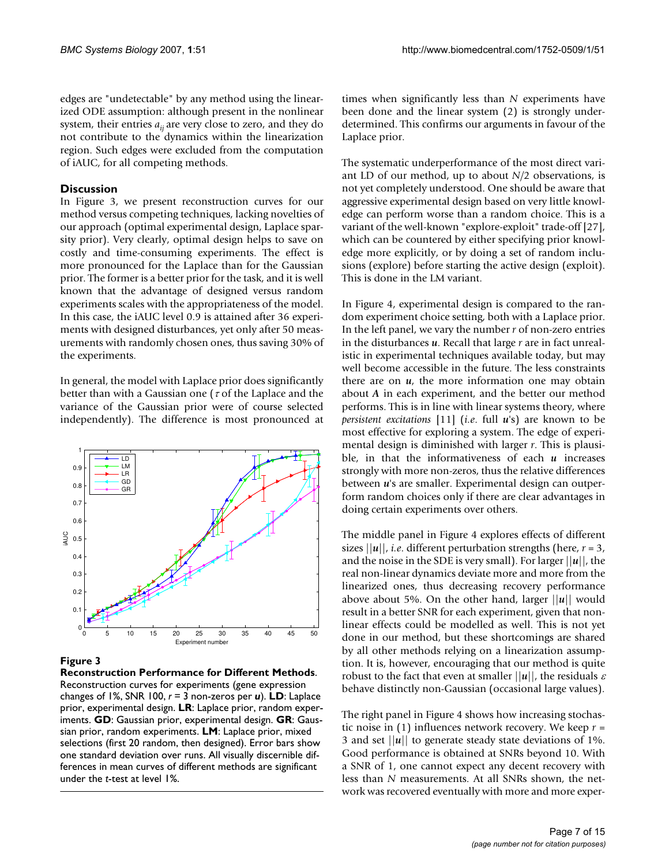edges are "undetectable" by any method using the linearized ODE assumption: although present in the nonlinear system, their entries  $a_{ii}$  are very close to zero, and they do not contribute to the dynamics within the linearization region. Such edges were excluded from the computation of iAUC, for all competing methods.

# **Discussion**

In Figure 3, we present reconstruction curves for our method versus competing techniques, lacking novelties of our approach (optimal experimental design, Laplace sparsity prior). Very clearly, optimal design helps to save on costly and time-consuming experiments. The effect is more pronounced for the Laplace than for the Gaussian prior. The former is a better prior for the task, and it is well known that the advantage of designed versus random experiments scales with the appropriateness of the model. In this case, the iAUC level 0.9 is attained after 36 experiments with designed disturbances, yet only after 50 measurements with randomly chosen ones, thus saving 30% of the experiments.

In general, the model with Laplace prior does significantly better than with a Gaussian one ( $\tau$  of the Laplace and the variance of the Gaussian prior were of course selected independently). The difference is most pronounced at



# **Figure 3**

**Reconstruction Performance for Different Methods**. Reconstruction curves for experiments (gene expression changes of 1%, SNR 100, *r* = 3 non-zeros per *u*). **LD**: Laplace prior, experimental design. **LR**: Laplace prior, random experiments. **GD**: Gaussian prior, experimental design. **GR**: Gaussian prior, random experiments. **LM**: Laplace prior, mixed selections (first 20 random, then designed). Error bars show one standard deviation over runs. All visually discernible differences in mean curves of different methods are significant under the *t*-test at level 1%.

times when significantly less than *N* experiments have been done and the linear system (2) is strongly underdetermined. This confirms our arguments in favour of the Laplace prior.

The systematic underperformance of the most direct variant LD of our method, up to about *N/*2 observations, is not yet completely understood. One should be aware that aggressive experimental design based on very little knowledge can perform worse than a random choice. This is a variant of the well-known "explore-exploit" trade-off [27], which can be countered by either specifying prior knowledge more explicitly, or by doing a set of random inclusions (explore) before starting the active design (exploit). This is done in the LM variant.

In Figure 4, experimental design is compared to the random experiment choice setting, both with a Laplace prior. In the left panel, we vary the number *r* of non-zero entries in the disturbances *u*. Recall that large *r* are in fact unrealistic in experimental techniques available today, but may well become accessible in the future. The less constraints there are on *u*, the more information one may obtain about *A* in each experiment, and the better our method performs. This is in line with linear systems theory, where *persistent excitations* [11] (*i.e*. full *u*'s) are known to be most effective for exploring a system. The edge of experimental design is diminished with larger *r*. This is plausible, in that the informativeness of each *u* increases strongly with more non-zeros, thus the relative differences between *u*'s are smaller. Experimental design can outperform random choices only if there are clear advantages in doing certain experiments over others.

The middle panel in Figure 4 explores effects of different sizes  $||u||$ , *i.e.* different perturbation strengths (here,  $r = 3$ , and the noise in the SDE is very small). For larger ||*u*||, the real non-linear dynamics deviate more and more from the linearized ones, thus decreasing recovery performance above about 5%. On the other hand, larger ||*u*|| would result in a better SNR for each experiment, given that nonlinear effects could be modelled as well. This is not yet done in our method, but these shortcomings are shared by all other methods relying on a linearization assumption. It is, however, encouraging that our method is quite robust to the fact that even at smaller  $||u||$ , the residuals  $\varepsilon$ behave distinctly non-Gaussian (occasional large values).

The right panel in Figure 4 shows how increasing stochastic noise in (1) influences network recovery. We keep *r* = 3 and set ||*u*|| to generate steady state deviations of 1%. Good performance is obtained at SNRs beyond 10. With a SNR of 1, one cannot expect any decent recovery with less than *N* measurements. At all SNRs shown, the network was recovered eventually with more and more exper-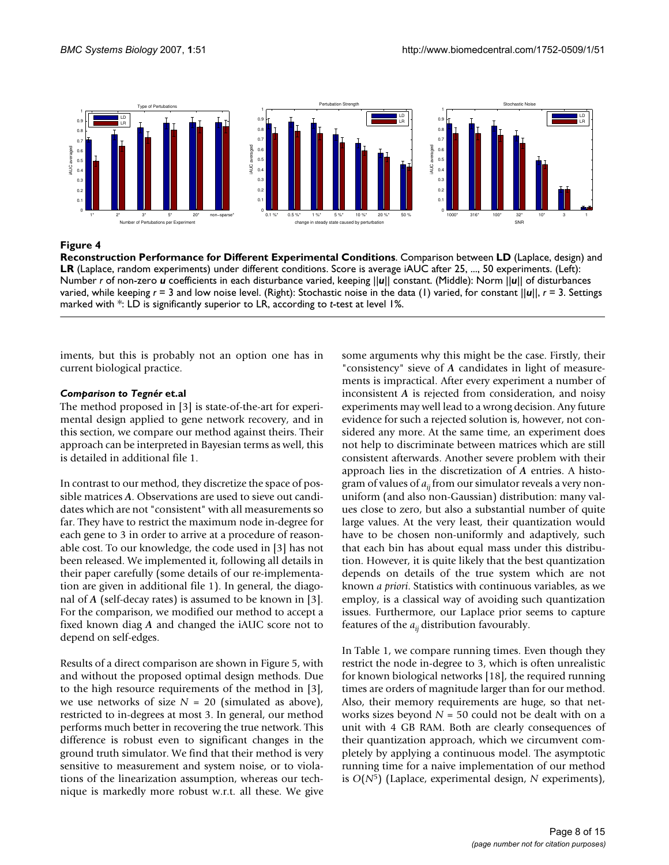

**Reconstruction Performance for Different Experimental Conditions**. Comparison between **LD** (Laplace, design) and **LR** (Laplace, random experiments) under different conditions. Score is average iAUC after 25, ..., 50 experiments. (Left): Number *r* of non-zero *u* coefficients in each disturbance varied, keeping ||*u*|| constant. (Middle): Norm ||*u*|| of disturbances varied, while keeping *r* = 3 and low noise level. (Right): Stochastic noise in the data (1) varied, for constant ||*u*||, *r* = 3. Settings marked with \*: LD is significantly superior to LR, according to *t*-test at level 1%.

iments, but this is probably not an option one has in current biological practice.

# *Comparison to Tegnér* **et.al**

The method proposed in [3] is state-of-the-art for experimental design applied to gene network recovery, and in this section, we compare our method against theirs. Their approach can be interpreted in Bayesian terms as well, this is detailed in additional file 1.

In contrast to our method, they discretize the space of possible matrices *A*. Observations are used to sieve out candidates which are not "consistent" with all measurements so far. They have to restrict the maximum node in-degree for each gene to 3 in order to arrive at a procedure of reasonable cost. To our knowledge, the code used in [3] has not been released. We implemented it, following all details in their paper carefully (some details of our re-implementation are given in additional file 1). In general, the diagonal of *A* (self-decay rates) is assumed to be known in [3]. For the comparison, we modified our method to accept a fixed known diag *A* and changed the iAUC score not to depend on self-edges.

Results of a direct comparison are shown in Figure 5, with and without the proposed optimal design methods. Due to the high resource requirements of the method in [3], we use networks of size *N* = 20 (simulated as above), restricted to in-degrees at most 3. In general, our method performs much better in recovering the true network. This difference is robust even to significant changes in the ground truth simulator. We find that their method is very sensitive to measurement and system noise, or to violations of the linearization assumption, whereas our technique is markedly more robust w.r.t. all these. We give some arguments why this might be the case. Firstly, their "consistency" sieve of *A* candidates in light of measurements is impractical. After every experiment a number of inconsistent *A* is rejected from consideration, and noisy experiments may well lead to a wrong decision. Any future evidence for such a rejected solution is, however, not considered any more. At the same time, an experiment does not help to discriminate between matrices which are still consistent afterwards. Another severe problem with their approach lies in the discretization of *A* entries. A histogram of values of  $a_{ii}$  from our simulator reveals a very nonuniform (and also non-Gaussian) distribution: many values close to zero, but also a substantial number of quite large values. At the very least, their quantization would have to be chosen non-uniformly and adaptively, such that each bin has about equal mass under this distribution. However, it is quite likely that the best quantization depends on details of the true system which are not known *a priori*. Statistics with continuous variables, as we employ, is a classical way of avoiding such quantization issues. Furthermore, our Laplace prior seems to capture features of the  $a_{ii}$  distribution favourably.

In Table 1, we compare running times. Even though they restrict the node in-degree to 3, which is often unrealistic for known biological networks [18], the required running times are orders of magnitude larger than for our method. Also, their memory requirements are huge, so that networks sizes beyond *N* = 50 could not be dealt with on a unit with 4 GB RAM. Both are clearly consequences of their quantization approach, which we circumvent completely by applying a continuous model. The asymptotic running time for a naive implementation of our method is *O*(*N*5) (Laplace, experimental design, *N* experiments),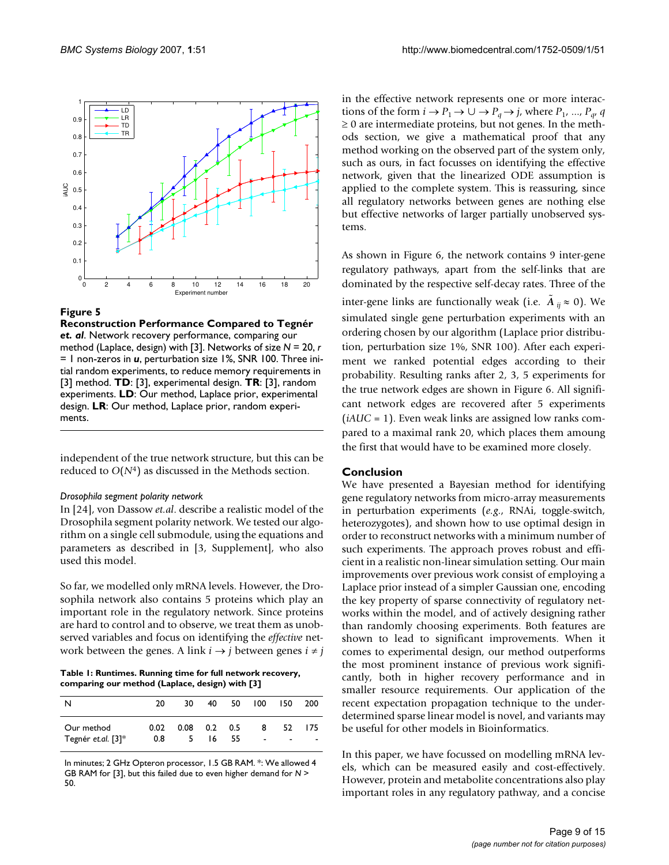

**Reconstruction Performance Compared to Tegnér**  *et. al*. Network recovery performance, comparing our method (Laplace, design) with [3]. Networks of size *N* = 20, *r*  = 1 non-zeros in *u*, perturbation size 1%, SNR 100. Three initial random experiments, to reduce memory requirements in [3] method. **TD**: [3], experimental design. **TR**: [3], random experiments. **LD**: Our method, Laplace prior, experimental design. **LR**: Our method, Laplace prior, random experiments.

independent of the true network structure, but this can be reduced to *O*(*N*4) as discussed in the Methods section.

#### *Drosophila segment polarity network*

In [24], von Dassow *et.al*. describe a realistic model of the Drosophila segment polarity network. We tested our algorithm on a single cell submodule, using the equations and parameters as described in [3, Supplement], who also used this model.

So far, we modelled only mRNA levels. However, the Drosophila network also contains 5 proteins which play an important role in the regulatory network. Since proteins are hard to control and to observe, we treat them as unobserved variables and focus on identifying the *effective* network between the genes. A link  $i \rightarrow j$  between genes  $i \neq j$ 

**Table 1: Runtimes. Running time for full network recovery, comparing our method (Laplace, design) with [3]**

| N                  | 20   | 30. | 40 <b>a</b>    | 50 | 100                      | 150            | 200    |
|--------------------|------|-----|----------------|----|--------------------------|----------------|--------|
|                    |      |     |                |    |                          |                |        |
| Our method         | 0.02 |     | $0.08$ 0.2 0.5 |    | 8                        | 52.            | -175   |
| Tegnér et.al. [3]* | 0.8  | 5.  | 16.            | 55 | $\overline{\phantom{a}}$ | $\blacksquare$ | $\sim$ |

In minutes; 2 GHz Opteron processor, 1.5 GB RAM. \*: We allowed 4 GB RAM for [3], but this failed due to even higher demand for *N* > 50.

in the effective network represents one or more interactions of the form  $i \rightarrow P_1 \rightarrow \cup \rightarrow P_q \rightarrow j$ , where  $P_1$ , ...,  $P_{q}$ , *q*  $\geq 0$  are intermediate proteins, but not genes. In the methods section, we give a mathematical proof that any method working on the observed part of the system only, such as ours, in fact focusses on identifying the effective network, given that the linearized ODE assumption is applied to the complete system. This is reassuring, since all regulatory networks between genes are nothing else but effective networks of larger partially unobserved systems.

As shown in Figure 6, the network contains 9 inter-gene regulatory pathways, apart from the self-links that are dominated by the respective self-decay rates. Three of the inter-gene links are functionally weak (i.e.  $\tilde{A}_{ij} \approx 0$ ). We simulated single gene perturbation experiments with an ordering chosen by our algorithm (Laplace prior distribution, perturbation size 1%, SNR 100). After each experiment we ranked potential edges according to their probability. Resulting ranks after 2, 3, 5 experiments for the true network edges are shown in Figure 6. All significant network edges are recovered after 5 experiments (*iAUC* = 1). Even weak links are assigned low ranks compared to a maximal rank 20, which places them amoung the first that would have to be examined more closely.

#### **Conclusion**

We have presented a Bayesian method for identifying gene regulatory networks from micro-array measurements in perturbation experiments (*e.g*., RNAi, toggle-switch, heterozygotes), and shown how to use optimal design in order to reconstruct networks with a minimum number of such experiments. The approach proves robust and efficient in a realistic non-linear simulation setting. Our main improvements over previous work consist of employing a Laplace prior instead of a simpler Gaussian one, encoding the key property of sparse connectivity of regulatory networks within the model, and of actively designing rather than randomly choosing experiments. Both features are shown to lead to significant improvements. When it comes to experimental design, our method outperforms the most prominent instance of previous work significantly, both in higher recovery performance and in smaller resource requirements. Our application of the recent expectation propagation technique to the underdetermined sparse linear model is novel, and variants may be useful for other models in Bioinformatics.

In this paper, we have focussed on modelling mRNA levels, which can be measured easily and cost-effectively. However, protein and metabolite concentrations also play important roles in any regulatory pathway, and a concise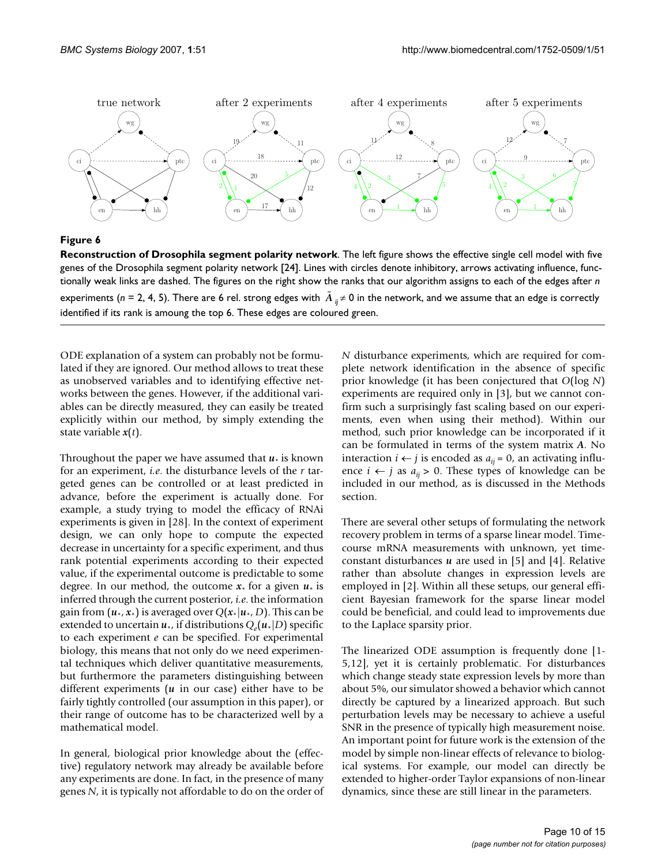

**Reconstruction of Drosophila segment polarity network**. The left figure shows the effective single cell model with five genes of the Drosophila segment polarity network [24]. Lines with circles denote inhibitory, arrows activating influence, functionally weak links are dashed. The figures on the right show the ranks that our algorithm assigns to each of the edges after *n*  experiments (n = 2, 4, 5). There are 6 rel. strong edges with  $\tilde{A}_{ij}$ ≠ 0 in the network, and we assume that an edge is correctly identified if its rank is amoung the top 6. These edges are coloured green.

ODE explanation of a system can probably not be formulated if they are ignored. Our method allows to treat these as unobserved variables and to identifying effective networks between the genes. However, if the additional variables can be directly measured, they can easily be treated explicitly within our method, by simply extending the state variable *x*(*t*).

Throughout the paper we have assumed that  $u_*$  is known for an experiment, *i.e*. the disturbance levels of the *r* targeted genes can be controlled or at least predicted in advance, before the experiment is actually done. For example, a study trying to model the efficacy of RNAi experiments is given in [28]. In the context of experiment design, we can only hope to compute the expected decrease in uncertainty for a specific experiment, and thus rank potential experiments according to their expected value, if the experimental outcome is predictable to some degree. In our method, the outcome  $x_*$  for a given  $u_*$  is inferred through the current posterior, *i.e*. the information gain from  $(u_*, x_*)$  is averaged over  $Q(x_*|u_*, D)$ . This can be extended to uncertain  $u_*$ , if distributions  $Q_e(u_*|D)$  specific to each experiment *e* can be specified. For experimental biology, this means that not only do we need experimental techniques which deliver quantitative measurements, but furthermore the parameters distinguishing between different experiments (*u* in our case) either have to be fairly tightly controlled (our assumption in this paper), or their range of outcome has to be characterized well by a mathematical model.

In general, biological prior knowledge about the (effective) regulatory network may already be available before any experiments are done. In fact, in the presence of many genes *N*, it is typically not affordable to do on the order of *N* disturbance experiments, which are required for complete network identification in the absence of specific prior knowledge (it has been conjectured that *O*(log *N*) experiments are required only in [3], but we cannot confirm such a surprisingly fast scaling based on our experiments, even when using their method). Within our method, such prior knowledge can be incorporated if it can be formulated in terms of the system matrix *A*. No interaction *i* ← *j* is encoded as  $a_{ij} = 0$ , an activating influence  $i \leftarrow j$  as  $a_{ij} > 0$ . These types of knowledge can be included in our method, as is discussed in the Methods section.

There are several other setups of formulating the network recovery problem in terms of a sparse linear model. Timecourse mRNA measurements with unknown, yet timeconstant disturbances *u* are used in [5] and [4]. Relative rather than absolute changes in expression levels are employed in [2]. Within all these setups, our general efficient Bayesian framework for the sparse linear model could be beneficial, and could lead to improvements due to the Laplace sparsity prior.

The linearized ODE assumption is frequently done [1- 5,12], yet it is certainly problematic. For disturbances which change steady state expression levels by more than about 5%, our simulator showed a behavior which cannot directly be captured by a linearized approach. But such perturbation levels may be necessary to achieve a useful SNR in the presence of typically high measurement noise. An important point for future work is the extension of the model by simple non-linear effects of relevance to biological systems. For example, our model can directly be extended to higher-order Taylor expansions of non-linear dynamics, since these are still linear in the parameters.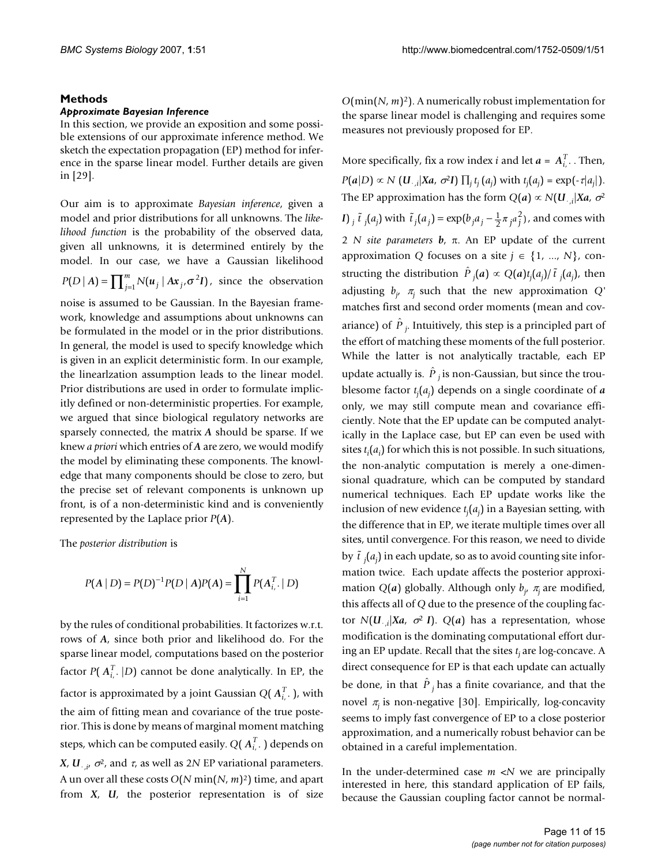### **Methods**

#### *Approximate Bayesian Inference*

In this section, we provide an exposition and some possible extensions of our approximate inference method. We sketch the expectation propagation (EP) method for inference in the sparse linear model. Further details are given in [29].

Our aim is to approximate *Bayesian inference*, given a model and prior distributions for all unknowns. The *likelihood function* is the probability of the observed data, given all unknowns, it is determined entirely by the model. In our case, we have a Gaussian likelihood  $P(D | A) = \prod_{j=1}^{m} N(u_j | Ax_j, \sigma^2 I)$ , since the observation noise is assumed to be Gaussian. In the Bayesian frame-

work, knowledge and assumptions about unknowns can be formulated in the model or in the prior distributions. In general, the model is used to specify knowledge which is given in an explicit deterministic form. In our example, the linearlzation assumption leads to the linear model. Prior distributions are used in order to formulate implicitly defined or non-deterministic properties. For example, we argued that since biological regulatory networks are sparsely connected, the matrix *A* should be sparse. If we knew *a priori* which entries of *A* are zero, we would modify the model by eliminating these components. The knowledge that many components should be close to zero, but the precise set of relevant components is unknown up front, is of a non-deterministic kind and is conveniently represented by the Laplace prior *P*(*A*).

The *posterior distribution* is

$$
P(A | D) = P(D)^{-1} P(D | A) P(A) = \prod_{i=1}^{N} P(A_{i, \cdot}^{T} | D)
$$

by the rules of conditional probabilities. It factorizes w.r.t. rows of *A*, since both prior and likelihood do. For the sparse linear model, computations based on the posterior factor  $P(A_{i,\cdot}^T | D)$  cannot be done analytically. In EP, the factor is approximated by a joint Gaussian  $Q(\bm{A}_{i,\cdot}^T)$ , with the aim of fitting mean and covariance of the true posterior. This is done by means of marginal moment matching steps, which can be computed easily.  $Q(\bm{A}_{i,\cdot}^T)$  depends on *X*, *U*<sub>·,*i*</sub>,  $\sigma$ <sup>2</sup>, and *τ*, as well as 2*N* EP variational parameters. A un over all these costs *O*(*N* min(*N*, *m*)2) time, and apart from *X*, *U*, the posterior representation is of size

*O*(min(*N*, *m*)2). A numerically robust implementation for the sparse linear model is challenging and requires some measures not previously proposed for EP.

More specifically, fix a row index *i* and let  $a = A_{i}^T$ . Then,  $P(a|D) \propto N$  (*U*.,*i*|*Xa*,  $\sigma^2 I$ )  $\prod_j t_j(a_j)$  with  $t_j(a_j) = \exp(-\tau|a_j|)$ . The EP approximation has the form  $Q(a) \propto N(U_{\cdot,i}|Xa,\,\sigma^2)$ *I*) *<sub>j</sub>*  $\tilde{t}$  *j*(*a<sub>j</sub>*) with  $\tilde{t}$  *j*(*a<sub>j</sub>*) = exp( $b_j a_j - \frac{1}{2} \pi_j a_j^2$ ), and comes with 2 *N site parameters b*, π. An EP update of the current approximation *Q* focuses on a site  $j \in \{1, ..., N\}$ , constructing the distribution  $\hat{P}_j(a) \propto Q(a)t_j(a_j)/\tilde{t}_j(a_j)$ , then adjusting *bj* , <sup>π</sup>*j* such that the new approximation *Q'* matches first and second order moments (mean and covariance) of  $\hat{P}_{j}$ . Intuitively, this step is a principled part of the effort of matching these moments of the full posterior. While the latter is not analytically tractable, each EP update actually is.  $\hat{P}_j$  is non-Gaussian, but since the troublesome factor *tj* (*aj* ) depends on a single coordinate of *a* only, we may still compute mean and covariance efficiently. Note that the EP update can be computed analytically in the Laplace case, but EP can even be used with sites *ti* (*ai* ) for which this is not possible. In such situations, the non-analytic computation is merely a one-dimensional quadrature, which can be computed by standard numerical techniques. Each EP update works like the inclusion of new evidence *tj* (*aj* ) in a Bayesian setting, with the difference that in EP, we iterate multiple times over all sites, until convergence. For this reason, we need to divide by  $\tilde{t}$  <sub>j</sub> $(a_j)$  in each update, so as to avoid counting site information twice. Each update affects the posterior approximation  $Q(a)$  globally. Although only  $b_j$ ,  $\pi_j$  are modified, this affects all of *Q* due to the presence of the coupling factor *N*(*U*·,*<sup>i</sup>* |*Xa*, σ<sup>2</sup>*I*). *Q*(*a*) has a representation, whose modification is the dominating computational effort during an EP update. Recall that the sites  $t_i$  are log-concave. A direct consequence for EP is that each update can actually be done, in that  $\hat{P}_j$  has a finite covariance, and that the novel <sup>π</sup>*j* is non-negative [30]. Empirically, log-concavity seems to imply fast convergence of EP to a close posterior approximation, and a numerically robust behavior can be obtained in a careful implementation.

In the under-determined case *m* <*N* we are principally interested in here, this standard application of EP fails, because the Gaussian coupling factor cannot be normal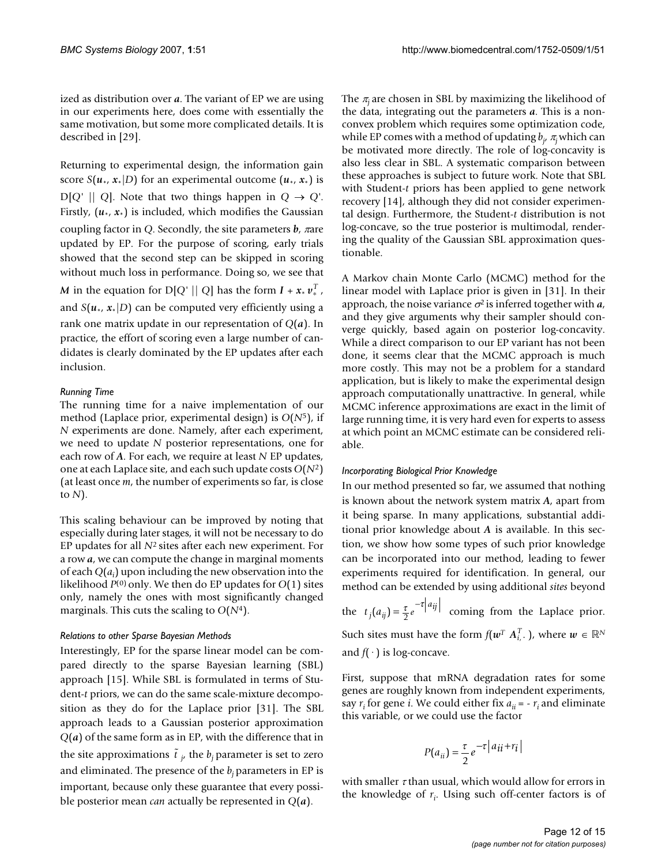ized as distribution over *a*. The variant of EP we are using in our experiments here, does come with essentially the same motivation, but some more complicated details. It is described in [29].

Returning to experimental design, the information gain score *S*( $u_*, x_*|D$ ) for an experimental outcome ( $u_*, x_*$ ) is  $D[Q' || Q]$ . Note that two things happen in  $Q \rightarrow Q'$ . Firstly,  $(u_*, x_*)$  is included, which modifies the Gaussian coupling factor in *Q*. Secondly, the site parameters *b*, πare updated by EP. For the purpose of scoring, early trials showed that the second step can be skipped in scoring without much loss in performance. Doing so, we see that *M* in the equation for D[*Q'* || *Q*] has the form  $I + x_* v_*^T$ , and  $S(u_*, x_*|D)$  can be computed very efficiently using a rank one matrix update in our representation of *Q*(*a*). In practice, the effort of scoring even a large number of candidates is clearly dominated by the EP updates after each inclusion.

#### *Running Time*

The running time for a naive implementation of our method (Laplace prior, experimental design) is *O*(*N*5), if *N* experiments are done. Namely, after each experiment, we need to update *N* posterior representations, one for each row of *A*. For each, we require at least *N* EP updates, one at each Laplace site, and each such update costs *O*(*N*2) (at least once *m*, the number of experiments so far, is close to *N*).

This scaling behaviour can be improved by noting that especially during later stages, it will not be necessary to do EP updates for all *N*2 sites after each new experiment. For a row *a*, we can compute the change in marginal moments of each  $Q(a_i)$  upon including the new observation into the likelihood *P*(0) only. We then do EP updates for *O*(1) sites only, namely the ones with most significantly changed marginals. This cuts the scaling to *O*(*N*4).

#### *Relations to other Sparse Bayesian Methods*

Interestingly, EP for the sparse linear model can be compared directly to the sparse Bayesian learning (SBL) approach [15]. While SBL is formulated in terms of Student-*t* priors, we can do the same scale-mixture decomposition as they do for the Laplace prior [31]. The SBL approach leads to a Gaussian posterior approximation *Q*(*a*) of the same form as in EP, with the difference that in the site approximations  $\tilde{t}_{j'}$  the  $b_j$  parameter is set to zero and eliminated. The presence of the  $b_i$  parameters in EP is important, because only these guarantee that every possible posterior mean *can* actually be represented in *Q*(*a*).

The  $\pi$ <sub>i</sub> are chosen in SBL by maximizing the likelihood of the data, integrating out the parameters *a*. This is a nonconvex problem which requires some optimization code, while EP comes with a method of updating *bj* , <sup>π</sup>*j* which can be motivated more directly. The role of log-concavity is also less clear in SBL. A systematic comparison between these approaches is subject to future work. Note that SBL with Student-*t* priors has been applied to gene network recovery [14], although they did not consider experimental design. Furthermore, the Student-*t* distribution is not log-concave, so the true posterior is multimodal, rendering the quality of the Gaussian SBL approximation questionable.

A Markov chain Monte Carlo (MCMC) method for the linear model with Laplace prior is given in [31]. In their approach, the noise variance  $\sigma^2$  is inferred together with  $a$ , and they give arguments why their sampler should converge quickly, based again on posterior log-concavity. While a direct comparison to our EP variant has not been done, it seems clear that the MCMC approach is much more costly. This may not be a problem for a standard application, but is likely to make the experimental design approach computationally unattractive. In general, while MCMC inference approximations are exact in the limit of large running time, it is very hard even for experts to assess at which point an MCMC estimate can be considered reliable.

#### *Incorporating Biological Prior Knowledge*

In our method presented so far, we assumed that nothing is known about the network system matrix *A*, apart from it being sparse. In many applications, substantial additional prior knowledge about *A* is available. In this section, we show how some types of such prior knowledge can be incorporated into our method, leading to fewer experiments required for identification. In general, our method can be extended by using additional *sites* beyond

the  $t_j(a_{ij}) = \frac{\tau}{2} e^{-\tau |a_{ij}|}$  coming from the Laplace prior. Such sites must have the form  $f(\boldsymbol{w}^T \boldsymbol{A}_{i,\cdot}^T)$ , where  $\boldsymbol{w} \in \mathbb{R}^N$ and  $f(\cdot)$  is log-concave.

First, suppose that mRNA degradation rates for some genes are roughly known from independent experiments, say  $r_i$  for gene *i*. We could either fix  $a_{ii} = -r_i$  and eliminate this variable, or we could use the factor

$$
P(a_{ii}) = \frac{\tau}{2} e^{-\tau |a_{ii} + r_i|}
$$

with smaller  $\tau$  than usual, which would allow for errors in the knowledge of  $r_i$ . Using such off-center factors is of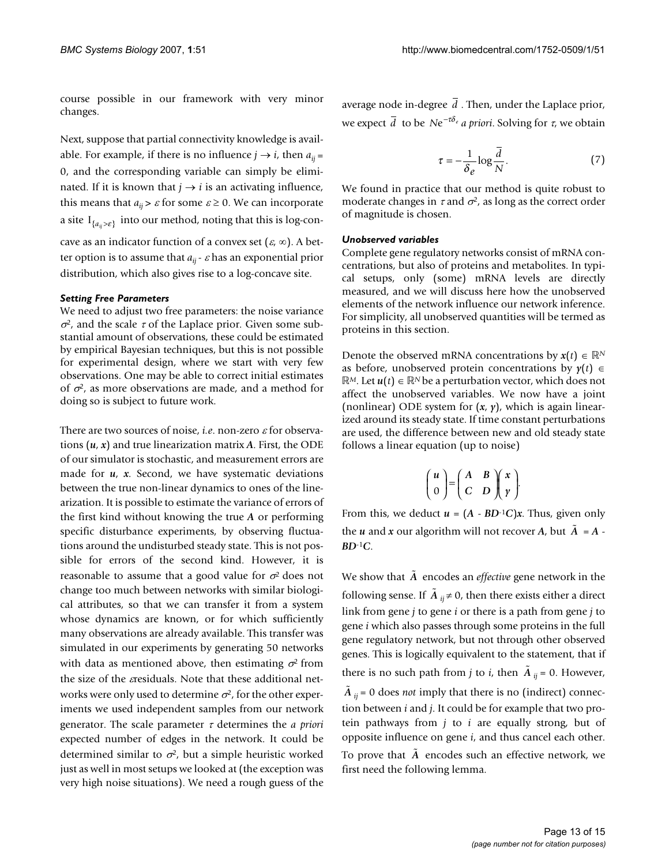course possible in our framework with very minor changes.

Next, suppose that partial connectivity knowledge is available. For example, if there is no influence  $j \rightarrow i$ , then  $a_{ij}$  = 0, and the corresponding variable can simply be eliminated. If it is known that  $j \rightarrow i$  is an activating influence, this means that  $a_{ij} > \varepsilon$  for some  $\varepsilon \ge 0$ . We can incorporate a site I<sub>{*a<sub>ij</sub>>ε*} into our method, noting that this is log-con-</sub> cave as an indicator function of a convex set  $(\varepsilon, \infty)$ . A better option is to assume that  $a_{ij}$  -  $\varepsilon$  has an exponential prior distribution, which also gives rise to a log-concave site.

# *Setting Free Parameters*

We need to adjust two free parameters: the noise variance  $\sigma^2$ , and the scale  $\tau$  of the Laplace prior. Given some substantial amount of observations, these could be estimated by empirical Bayesian techniques, but this is not possible for experimental design, where we start with very few observations. One may be able to correct initial estimates of  $\sigma^2$ , as more observations are made, and a method for doing so is subject to future work.

There are two sources of noise, *i.e*. non-zero <sup>ε</sup> for observations  $(u, x)$  and true linearization matrix *A*. First, the ODE of our simulator is stochastic, and measurement errors are made for *u*, *x*. Second, we have systematic deviations between the true non-linear dynamics to ones of the linearization. It is possible to estimate the variance of errors of the first kind without knowing the true *A* or performing specific disturbance experiments, by observing fluctuations around the undisturbed steady state. This is not possible for errors of the second kind. However, it is reasonable to assume that a good value for  $\sigma^2$  does not change too much between networks with similar biological attributes, so that we can transfer it from a system whose dynamics are known, or for which sufficiently many observations are already available. This transfer was simulated in our experiments by generating 50 networks with data as mentioned above, then estimating  $\sigma^2$  from the size of the *ε*residuals. Note that these additional networks were only used to determine  $\sigma^2$ , for the other experiments we used independent samples from our network generator. The scale parameter <sup>τ</sup> determines the *a priori* expected number of edges in the network. It could be determined similar to  $\sigma^2$ , but a simple heuristic worked just as well in most setups we looked at (the exception was very high noise situations). We need a rough guess of the

average node in-degree  $d$  . Then, under the Laplace prior, *we expect*  $\overline{d}$  to be  $N e^{-\tau \delta_e}$  *a priori.* Solving for  $\tau$ , we obtain

$$
\tau = -\frac{1}{\delta_e} \log \frac{\overline{d}}{N}.\tag{7}
$$

We found in practice that our method is quite robust to moderate changes in  $\tau$  and  $\sigma^2$ , as long as the correct order of magnitude is chosen.

# *Unobserved variables*

Complete gene regulatory networks consist of mRNA concentrations, but also of proteins and metabolites. In typical setups, only (some) mRNA levels are directly measured, and we will discuss here how the unobserved elements of the network influence our network inference. For simplicity, all unobserved quantities will be termed as proteins in this section.

Denote the observed mRNA concentrations by  $x(t) \in \mathbb{R}^N$ as before, unobserved protein concentrations by  $y(t) \in$ *R*<sup>*M*</sup>. Let *u*(*t*) ∈ *R*<sup>*N*</sup> be a perturbation vector, which does not affect the unobserved variables. We now have a joint (nonlinear) ODE system for (*x*, *y*), which is again linearized around its steady state. If time constant perturbations are used, the difference between new and old steady state follows a linear equation (up to noise)

$$
\begin{pmatrix} u \\ 0 \end{pmatrix} = \begin{pmatrix} A & B \\ C & D \end{pmatrix} \begin{pmatrix} x \\ y \end{pmatrix}.
$$

From this, we deduct  $u = (A - BD^{-1}C)x$ . Thus, given only the *u* and *x* our algorithm will not recover *A*, but  $\tilde{A} = A$ . *BD*-1*C*.

We show that  $\tilde{A}$  encodes an *effective* gene network in the following sense. If  $\tilde{A}_{ij}$ ≠0, then there exists either a direct link from gene *j* to gene *i* or there is a path from gene *j* to gene *i* which also passes through some proteins in the full gene regulatory network, but not through other observed genes. This is logically equivalent to the statement, that if there is no such path from *j* to *i*, then  $\tilde{A}_{ij}$  = 0. However,  $\tilde{A}_{ij}$  = 0 does *not* imply that there is no (indirect) connection between *i* and *j*. It could be for example that two protein pathways from *j* to *i* are equally strong, but of opposite influence on gene *i*, and thus cancel each other. To prove that  $\tilde{A}$  encodes such an effective network, we first need the following lemma.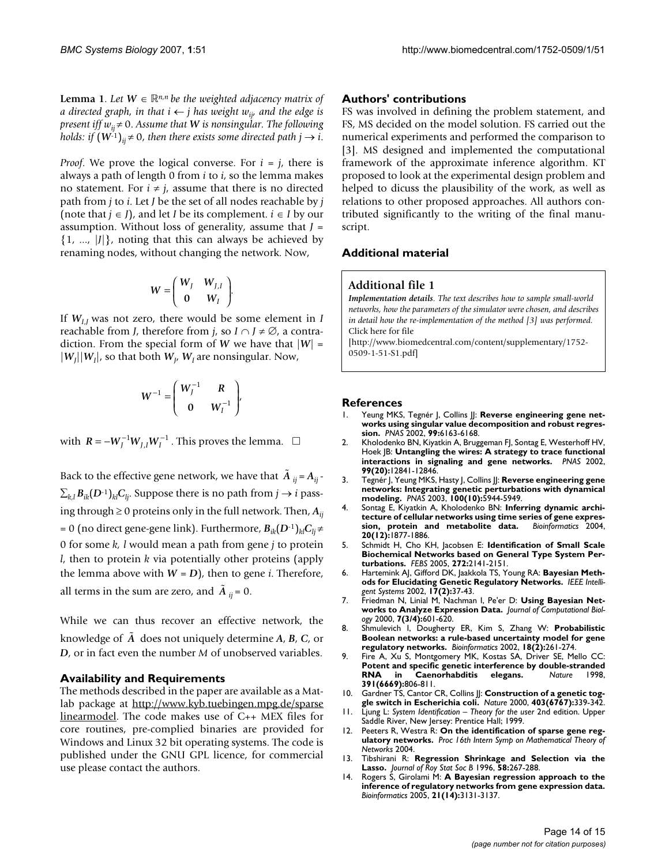**Lemma 1**. Let  $W \in \mathbb{R}^{n,n}$  be the weighted adjacency matrix of *a directed graph, in that i*  $\leftarrow$  *j has weight w<sub>ij</sub>, and the edge is present iff*  $w_{ii} \neq 0$ . Assume that *W* is nonsingular. The following *holds: if*  $(W^{-1})_{ii} \neq 0$ , *then there exists some directed path j*  $\rightarrow$  *i*.

*Proof.* We prove the logical converse. For  $i = j$ , there is always a path of length 0 from *i* to *i*, so the lemma makes no statement. For  $i \neq j$ , assume that there is no directed path from *j* to *i*. Let *J* be the set of all nodes reachable by *j* (note that  $j \in J$ ), and let *I* be its complement.  $i \in I$  by our assumption. Without loss of generality, assume that *J* =  $\{1, ..., |J|\}$ , noting that this can always be achieved by renaming nodes, without changing the network. Now,

$$
W = \left(\begin{array}{cc} W_J & W_{J,I} \\ 0 & W_I \end{array}\right).
$$

If  $W_{IJ}$  was not zero, there would be some element in *I* reachable from *J*, therefore from *j*, so  $I \cap J \neq \emptyset$ , a contradiction. From the special form of *W* we have that  $|W|$  =  $|W_J||W_I|$ , so that both  $W_J$ ,  $W_I$  are nonsingular. Now,

$$
W^{-1} = \begin{pmatrix} W_I^{-1} & R \\ 0 & W_I^{-1} \end{pmatrix},
$$

with  $R = -W_J^{-1}W_{J,I}W_I^{-1}$ . This proves the lemma.  $\Box$ 

Back to the effective gene network, we have that  $\tilde{A}_{ij} = A_{ij}$ .  $\sum_{k,l} B_{ik}(D^{-1})_{kl} C_{li}$ . Suppose there is no path from  $j \to i$  passing through  $\geq 0$  proteins only in the full network. Then,  $A_{ii}$ = 0 (no direct gene-gene link). Furthermore,  $B_{ik}(D^{-1})_{kl}C_{li} \neq$ 0 for some *k, l* would mean a path from gene *j* to protein *l*, then to protein *k* via potentially other proteins (apply the lemma above with  $W = D$ ), then to gene *i*. Therefore, all terms in the sum are zero, and  $\tilde{A}_{ij} = 0$ .

While we can thus recover an effective network, the knowledge of  $\tilde{A}$  does not uniquely determine *A*, *B*, *C*, or *D*, or in fact even the number *M* of unobserved variables.

#### **Availability and Requirements**

The methods described in the paper are available as a Matlab package at [http://www.kyb.tuebingen.mpg.de/sparse](http://www.kyb.tuebingen.mpg.de/sparselinearmodel) [linearmodel](http://www.kyb.tuebingen.mpg.de/sparselinearmodel). The code makes use of C++ MEX files for core routines, pre-complied binaries are provided for Windows and Linux 32 bit operating systems. The code is published under the GNU GPL licence, for commercial use please contact the authors.

#### **Authors' contributions**

FS was involved in defining the problem statement, and FS, MS decided on the model solution. FS carried out the numerical experiments and performed the comparison to [3]. MS designed and implemented the computational framework of the approximate inference algorithm. KT proposed to look at the experimental design problem and helped to dicuss the plausibility of the work, as well as relations to other proposed approaches. All authors contributed significantly to the writing of the final manuscript.

#### **Additional material**

#### **Additional file 1**

*Implementation details. The text describes how to sample small-world networks, how the parameters of the simulator were chosen, and describes in detail how the re-implementation of the method [3] was performed.* Click here for file

[\[http://www.biomedcentral.com/content/supplementary/1752-](http://www.biomedcentral.com/content/supplementary/1752-0509-1-51-S1.pdf) 0509-1-51-S1.pdf]

#### **References**

- Yeung MKS, Tegnér J, Collins JJ: [Reverse engineering gene net](http://www.ncbi.nlm.nih.gov/entrez/query.fcgi?cmd=Retrieve&db=PubMed&dopt=Abstract&list_uids=11983907)**[works using singular value decomposition and robust regres](http://www.ncbi.nlm.nih.gov/entrez/query.fcgi?cmd=Retrieve&db=PubMed&dopt=Abstract&list_uids=11983907)[sion.](http://www.ncbi.nlm.nih.gov/entrez/query.fcgi?cmd=Retrieve&db=PubMed&dopt=Abstract&list_uids=11983907)** *PNAS* 2002, **99:**6163-6168.
- 2. Kholodenko BN, Kiyatkin A, Bruggeman FJ, Sontag E, Westerhoff HV, Hoek JB: **[Untangling the wires: A strategy to trace functional](http://www.ncbi.nlm.nih.gov/entrez/query.fcgi?cmd=Retrieve&db=PubMed&dopt=Abstract&list_uids=12242336) [interactions in signaling and gene networks.](http://www.ncbi.nlm.nih.gov/entrez/query.fcgi?cmd=Retrieve&db=PubMed&dopt=Abstract&list_uids=12242336)** *PNAS* 2002, **99(20):**12841-12846.
- 3. Tegnér J, Yeung MKS, Hasty J, Collins JJ: **[Reverse engineering gene](http://www.ncbi.nlm.nih.gov/entrez/query.fcgi?cmd=Retrieve&db=PubMed&dopt=Abstract&list_uids=12730377) [networks: Integrating genetic perturbations with dynamical](http://www.ncbi.nlm.nih.gov/entrez/query.fcgi?cmd=Retrieve&db=PubMed&dopt=Abstract&list_uids=12730377) [modeling.](http://www.ncbi.nlm.nih.gov/entrez/query.fcgi?cmd=Retrieve&db=PubMed&dopt=Abstract&list_uids=12730377)** *PNAS* 2003, **100(10):**5944-5949.
- 4. Sontag E, Kiyatkin A, Kholodenko BN: **[Inferring dynamic archi](http://www.ncbi.nlm.nih.gov/entrez/query.fcgi?cmd=Retrieve&db=PubMed&dopt=Abstract&list_uids=15037511)[tecture of cellular networks using time series of gene expres](http://www.ncbi.nlm.nih.gov/entrez/query.fcgi?cmd=Retrieve&db=PubMed&dopt=Abstract&list_uids=15037511)**[sion, protein and metabolite data.](http://www.ncbi.nlm.nih.gov/entrez/query.fcgi?cmd=Retrieve&db=PubMed&dopt=Abstract&list_uids=15037511) **20(12):**1877-1886.
- 5. Schmidt H, Cho KH, Jacobsen E: **Identification of Small Scale Biochemical Networks based on General Type System Perturbations.** *FEBS* 2005, **272:**2141-2151.
- 6. Hartemink AJ, Gifford DK, Jaakkola TS, Young RA: **Bayesian Methods for Elucidating Genetic Regulatory Networks.** *IEEE Intelligent Systems* 2002, **17(2):**37-43.
- 7. Friedman N, Linial M, Nachman I, Pe'er D: **[Using Bayesian Net](http://www.ncbi.nlm.nih.gov/entrez/query.fcgi?cmd=Retrieve&db=PubMed&dopt=Abstract&list_uids=11108481)[works to Analyze Expression Data.](http://www.ncbi.nlm.nih.gov/entrez/query.fcgi?cmd=Retrieve&db=PubMed&dopt=Abstract&list_uids=11108481)** *Journal of Computational Biology* 2000, **7(3/4):**601-620.
- 8. Shmulevich I, Dougherty ER, Kim S, Zhang W: **[Probabilistic](http://www.ncbi.nlm.nih.gov/entrez/query.fcgi?cmd=Retrieve&db=PubMed&dopt=Abstract&list_uids=11847074) [Boolean networks: a rule-based uncertainty model for gene](http://www.ncbi.nlm.nih.gov/entrez/query.fcgi?cmd=Retrieve&db=PubMed&dopt=Abstract&list_uids=11847074) [regulatory networks.](http://www.ncbi.nlm.nih.gov/entrez/query.fcgi?cmd=Retrieve&db=PubMed&dopt=Abstract&list_uids=11847074)** *Bioinformatics* 2002, **18(2):**261-274.
- 9. Fire A, Xu S, Montgomery MK, Kostas SA, Driver SE, Mello CC: **[Potent and specific genetic interference by double-stranded](http://www.ncbi.nlm.nih.gov/entrez/query.fcgi?cmd=Retrieve&db=PubMed&dopt=Abstract&list_uids=9486653) [RNA in Caenorhabditis elegans.](http://www.ncbi.nlm.nih.gov/entrez/query.fcgi?cmd=Retrieve&db=PubMed&dopt=Abstract&list_uids=9486653)** *Nature* 1998, **391(6669):**806-811.
- 10. Gardner TS, Cantor CR, Collins JJ: **[Construction of a genetic tog](http://www.ncbi.nlm.nih.gov/entrez/query.fcgi?cmd=Retrieve&db=PubMed&dopt=Abstract&list_uids=10659857)[gle switch in Escherichia coli.](http://www.ncbi.nlm.nih.gov/entrez/query.fcgi?cmd=Retrieve&db=PubMed&dopt=Abstract&list_uids=10659857)** *Nature* 2000, **403(6767):**339-342.
- 11. Ljung L: *System Identification Theory for the user* 2nd edition. Upper Saddle River, New Jersey: Prentice Hall; 1999.
- 12. Peeters R, Westra R: **On the identification of sparse gene regulatory networks.** *Proc 16th Intern Symp on Mathematical Theory of Networks* 2004.
- 13. Tibshirani R: **Regression Shrinkage and Selection via the Lasso.** *Journal of Roy Stat Soc B* 1996, **58:**267-288.
- 14. Rogers S, Girolami M: **[A Bayesian regression approach to the](http://www.ncbi.nlm.nih.gov/entrez/query.fcgi?cmd=Retrieve&db=PubMed&dopt=Abstract&list_uids=15879452) [inference of regulatory networks from gene expression data.](http://www.ncbi.nlm.nih.gov/entrez/query.fcgi?cmd=Retrieve&db=PubMed&dopt=Abstract&list_uids=15879452)** *Bioinformatics* 2005, **21(14):**3131-3137.